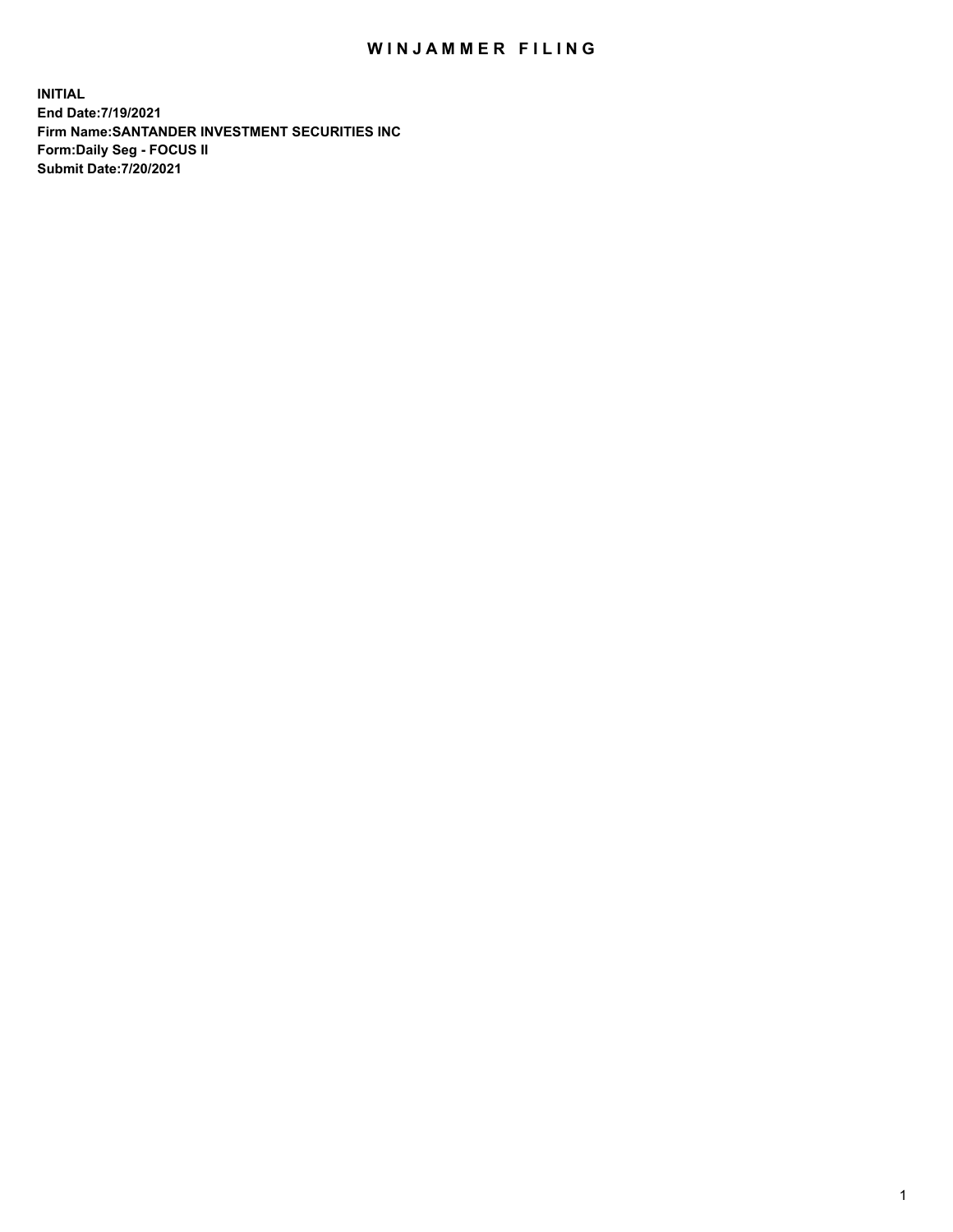## WIN JAMMER FILING

**INITIAL End Date:7/19/2021 Firm Name:SANTANDER INVESTMENT SECURITIES INC Form:Daily Seg - FOCUS II Submit Date:7/20/2021**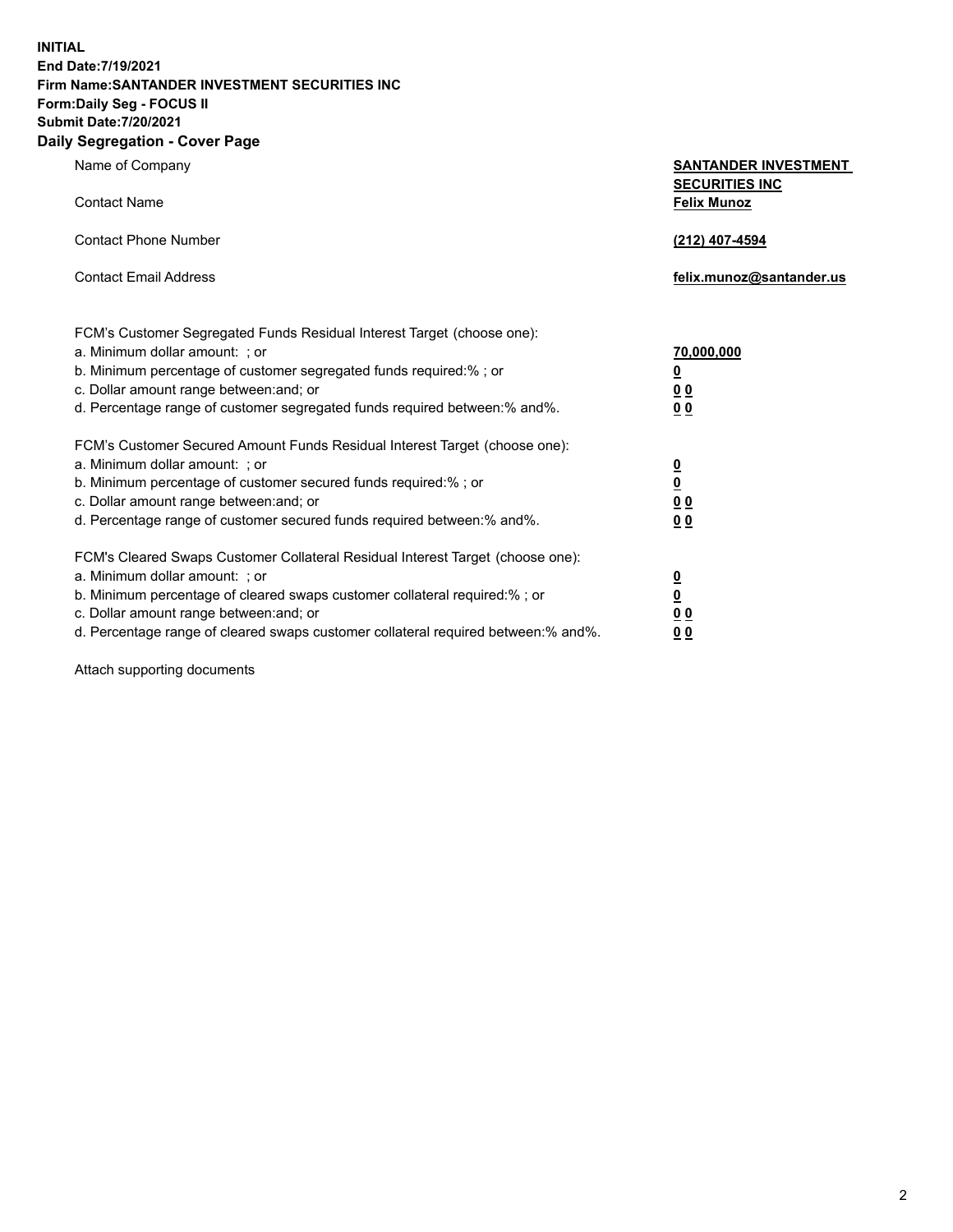**INITIAL End Date:7/19/2021 Firm Name:SANTANDER INVESTMENT SECURITIES INC Form:Daily Seg - FOCUS II Submit Date:7/20/2021 Daily Segregation - Cover Page**

| Name of Company                                                        | <b>SANTANDER INVESTMENT</b><br><b>SECURITIES INC</b> |
|------------------------------------------------------------------------|------------------------------------------------------|
| Contact Name                                                           | <b>Felix Munoz</b>                                   |
| Contact Phone Number                                                   | (212) 407-4594                                       |
| <b>Contact Email Address</b>                                           | felix.munoz@santander.us                             |
| FCM's Customer Segregated Funds Residual Interest Target (choose one): |                                                      |
| a. Minimum dollar amount: ; or                                         | 70.000.000                                           |
| b. Minimum percentage of customer segregated funds required:%; or      | <u>0</u>                                             |
| c. Dollar amount range between: and; or                                | <u>0 0</u>                                           |

| d. Percentage range of customer segregated funds required between: % and %.    | 00                      |
|--------------------------------------------------------------------------------|-------------------------|
| FCM's Customer Secured Amount Funds Residual Interest Target (choose one):     |                         |
| a. Minimum dollar amount: ; or                                                 | $\overline{\mathbf{0}}$ |
| b. Minimum percentage of customer secured funds required:%; or                 | $\overline{\mathbf{0}}$ |
| c. Dollar amount range between: and; or                                        | 00                      |
| d. Percentage range of customer secured funds required between:% and%.         | 00                      |
| FCM's Cleared Swaps Customer Collateral Residual Interest Target (choose one): |                         |
| a. Minimum dollar amount: ; or                                                 | <u>0</u>                |
| b. Minimum percentage of cleared swaps customer collateral required:% ; or     | <u>0</u>                |
| c. Dollar amount range between: and; or                                        |                         |

d. Percentage range of cleared swaps customer collateral required between:% and%. **0 0**

Attach supporting documents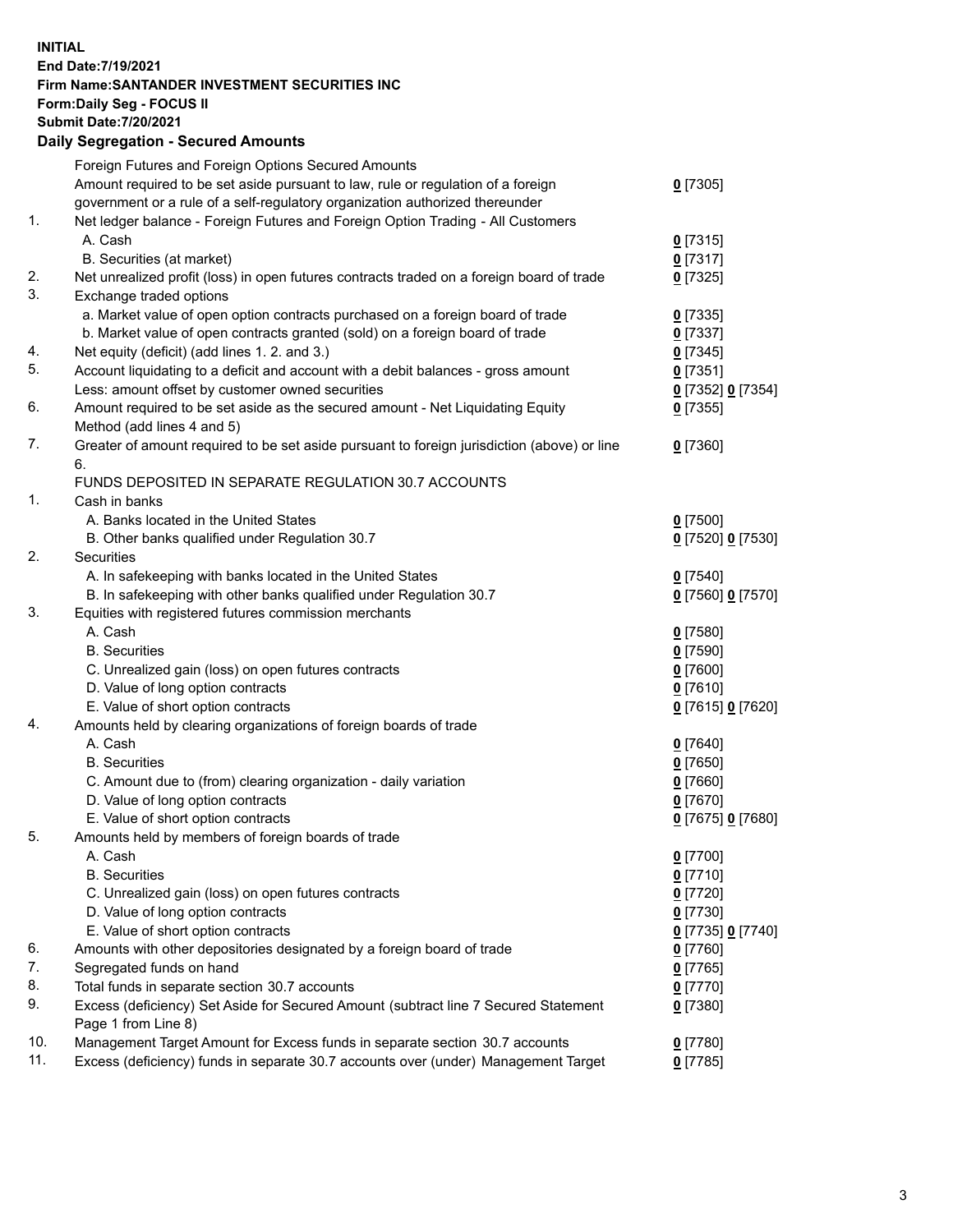**INITIAL End Date:7/19/2021 Firm Name:SANTANDER INVESTMENT SECURITIES INC Form:Daily Seg - FOCUS II Submit Date:7/20/2021 Daily Segregation - Secured Amounts**

|     | Foreign Futures and Foreign Options Secured Amounts                                         |                   |
|-----|---------------------------------------------------------------------------------------------|-------------------|
|     | Amount required to be set aside pursuant to law, rule or regulation of a foreign            | $0$ [7305]        |
|     | government or a rule of a self-regulatory organization authorized thereunder                |                   |
| 1.  | Net ledger balance - Foreign Futures and Foreign Option Trading - All Customers             |                   |
|     | A. Cash                                                                                     | $0$ [7315]        |
|     | B. Securities (at market)                                                                   | $0$ [7317]        |
| 2.  | Net unrealized profit (loss) in open futures contracts traded on a foreign board of trade   | $0$ [7325]        |
| 3.  | Exchange traded options                                                                     |                   |
|     | a. Market value of open option contracts purchased on a foreign board of trade              | $0$ [7335]        |
|     | b. Market value of open contracts granted (sold) on a foreign board of trade                | $0$ [7337]        |
| 4.  | Net equity (deficit) (add lines 1.2. and 3.)                                                | $0$ [7345]        |
| 5.  | Account liquidating to a deficit and account with a debit balances - gross amount           | $0$ [7351]        |
|     | Less: amount offset by customer owned securities                                            | 0 [7352] 0 [7354] |
| 6.  | Amount required to be set aside as the secured amount - Net Liquidating Equity              | $0$ [7355]        |
|     | Method (add lines 4 and 5)                                                                  |                   |
| 7.  | Greater of amount required to be set aside pursuant to foreign jurisdiction (above) or line | $0$ [7360]        |
|     | 6.                                                                                          |                   |
|     | FUNDS DEPOSITED IN SEPARATE REGULATION 30.7 ACCOUNTS                                        |                   |
| 1.  | Cash in banks                                                                               |                   |
|     | A. Banks located in the United States                                                       | $0$ [7500]        |
|     | B. Other banks qualified under Regulation 30.7                                              | 0 [7520] 0 [7530] |
| 2.  | Securities                                                                                  |                   |
|     | A. In safekeeping with banks located in the United States                                   | $0$ [7540]        |
|     | B. In safekeeping with other banks qualified under Regulation 30.7                          | 0 [7560] 0 [7570] |
| 3.  | Equities with registered futures commission merchants                                       |                   |
|     | A. Cash                                                                                     | $0$ [7580]        |
|     | <b>B.</b> Securities                                                                        | $0$ [7590]        |
|     | C. Unrealized gain (loss) on open futures contracts                                         | $0$ [7600]        |
|     | D. Value of long option contracts                                                           | $0$ [7610]        |
|     | E. Value of short option contracts                                                          | 0 [7615] 0 [7620] |
| 4.  | Amounts held by clearing organizations of foreign boards of trade                           |                   |
|     | A. Cash                                                                                     | $0$ [7640]        |
|     | <b>B.</b> Securities                                                                        | $0$ [7650]        |
|     | C. Amount due to (from) clearing organization - daily variation                             | $0$ [7660]        |
|     | D. Value of long option contracts                                                           | $0$ [7670]        |
|     | E. Value of short option contracts                                                          | 0 [7675] 0 [7680] |
| 5.  | Amounts held by members of foreign boards of trade                                          |                   |
|     | A. Cash                                                                                     | $0$ [7700]        |
|     | <b>B.</b> Securities                                                                        | $0$ [7710]        |
|     | C. Unrealized gain (loss) on open futures contracts                                         | $0$ [7720]        |
|     | D. Value of long option contracts                                                           | $0$ [7730]        |
|     | E. Value of short option contracts                                                          | 0 [7735] 0 [7740] |
| 6.  | Amounts with other depositories designated by a foreign board of trade                      | $0$ [7760]        |
| 7.  | Segregated funds on hand                                                                    | $0$ [7765]        |
| 8.  | Total funds in separate section 30.7 accounts                                               | $0$ [7770]        |
| 9.  | Excess (deficiency) Set Aside for Secured Amount (subtract line 7 Secured Statement         | $0$ [7380]        |
|     | Page 1 from Line 8)                                                                         |                   |
| 10. | Management Target Amount for Excess funds in separate section 30.7 accounts                 | $0$ [7780]        |
| 11. | Excess (deficiency) funds in separate 30.7 accounts over (under) Management Target          | $0$ [7785]        |
|     |                                                                                             |                   |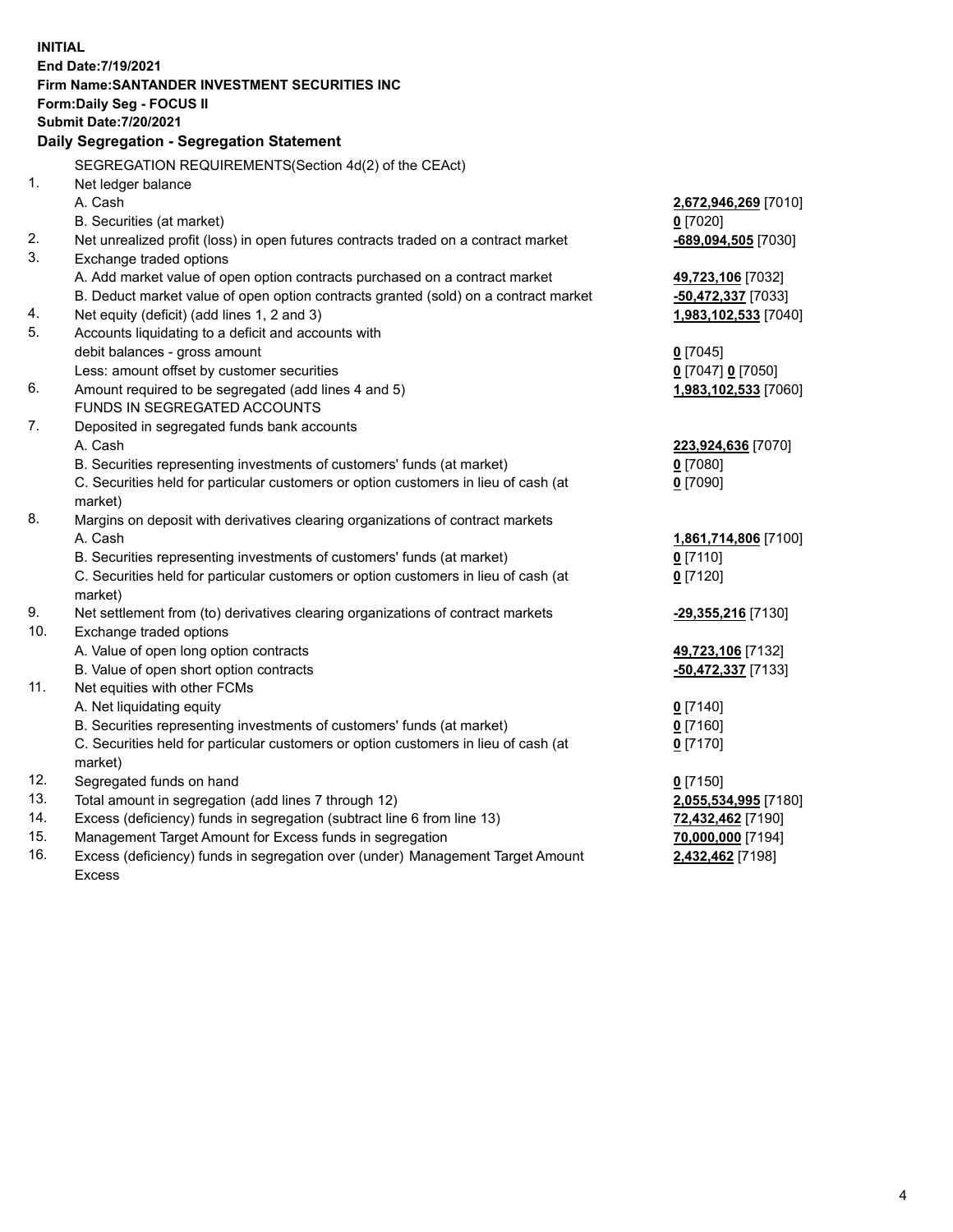| <b>INITIAL</b> |                                                                                                     |                          |  |  |  |  |
|----------------|-----------------------------------------------------------------------------------------------------|--------------------------|--|--|--|--|
|                | End Date: 7/19/2021                                                                                 |                          |  |  |  |  |
|                | Firm Name: SANTANDER INVESTMENT SECURITIES INC                                                      |                          |  |  |  |  |
|                | Form: Daily Seg - FOCUS II                                                                          |                          |  |  |  |  |
|                | <b>Submit Date: 7/20/2021</b>                                                                       |                          |  |  |  |  |
|                | Daily Segregation - Segregation Statement                                                           |                          |  |  |  |  |
|                | SEGREGATION REQUIREMENTS(Section 4d(2) of the CEAct)                                                |                          |  |  |  |  |
| 1.             | Net ledger balance                                                                                  |                          |  |  |  |  |
|                | A. Cash                                                                                             | 2,672,946,269 [7010]     |  |  |  |  |
|                | B. Securities (at market)                                                                           | $0$ [7020]               |  |  |  |  |
| 2.             | Net unrealized profit (loss) in open futures contracts traded on a contract market                  | $-689,094,505$ [7030]    |  |  |  |  |
| 3.             | Exchange traded options                                                                             |                          |  |  |  |  |
|                | A. Add market value of open option contracts purchased on a contract market                         | 49,723,106 [7032]        |  |  |  |  |
|                | B. Deduct market value of open option contracts granted (sold) on a contract market                 | -50,472,337 [7033]       |  |  |  |  |
| 4.             | Net equity (deficit) (add lines 1, 2 and 3)                                                         | 1,983,102,533 [7040]     |  |  |  |  |
| 5.             | Accounts liquidating to a deficit and accounts with                                                 |                          |  |  |  |  |
|                | debit balances - gross amount                                                                       | $0$ [7045]               |  |  |  |  |
|                | Less: amount offset by customer securities                                                          | 0 [7047] 0 [7050]        |  |  |  |  |
| 6.             | Amount required to be segregated (add lines 4 and 5)                                                | 1,983,102,533 [7060]     |  |  |  |  |
|                | FUNDS IN SEGREGATED ACCOUNTS                                                                        |                          |  |  |  |  |
| 7.             | Deposited in segregated funds bank accounts                                                         |                          |  |  |  |  |
|                | A. Cash                                                                                             | 223,924,636 [7070]       |  |  |  |  |
|                | B. Securities representing investments of customers' funds (at market)                              | $0$ [7080]               |  |  |  |  |
|                | C. Securities held for particular customers or option customers in lieu of cash (at                 | $0$ [7090]               |  |  |  |  |
|                | market)                                                                                             |                          |  |  |  |  |
| 8.             | Margins on deposit with derivatives clearing organizations of contract markets                      |                          |  |  |  |  |
|                | A. Cash                                                                                             | 1,861,714,806 [7100]     |  |  |  |  |
|                | B. Securities representing investments of customers' funds (at market)                              | $0$ [7110]               |  |  |  |  |
|                | C. Securities held for particular customers or option customers in lieu of cash (at                 | $0$ [7120]               |  |  |  |  |
|                | market)                                                                                             |                          |  |  |  |  |
| 9.             | Net settlement from (to) derivatives clearing organizations of contract markets                     | -29,355,216 [7130]       |  |  |  |  |
| 10.            | Exchange traded options                                                                             |                          |  |  |  |  |
|                | A. Value of open long option contracts                                                              | 49,723,106 [7132]        |  |  |  |  |
|                | B. Value of open short option contracts                                                             | -50,472,337 [7133]       |  |  |  |  |
| 11.            | Net equities with other FCMs                                                                        |                          |  |  |  |  |
|                | A. Net liquidating equity<br>B. Securities representing investments of customers' funds (at market) | $0$ [7140]               |  |  |  |  |
|                | C. Securities held for particular customers or option customers in lieu of cash (at                 | $0$ [7160]<br>$0$ [7170] |  |  |  |  |
|                | market)                                                                                             |                          |  |  |  |  |
| 12.            | Segregated funds on hand                                                                            | $0$ [7150]               |  |  |  |  |
| 13.            | Total amount in segregation (add lines 7 through 12)                                                | 2,055,534,995 [7180]     |  |  |  |  |
| 14.            | Excess (deficiency) funds in segregation (subtract line 6 from line 13)                             | 72,432,462 [7190]        |  |  |  |  |
| 15.            | Management Target Amount for Excess funds in segregation                                            | 70,000,000 [7194]        |  |  |  |  |
| 16.            | Excess (deficiency) funds in segregation over (under) Management Target Amount                      | 2,432,462 [7198]         |  |  |  |  |
|                | <b>Excess</b>                                                                                       |                          |  |  |  |  |